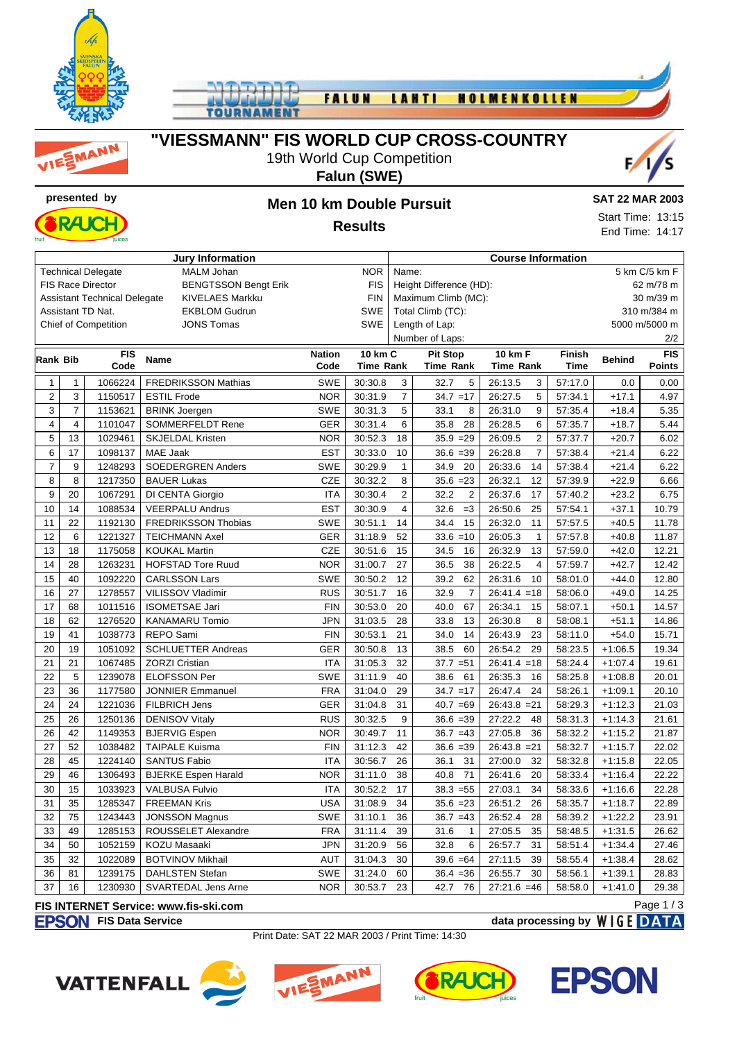





### **"VIESSMANN" FIS WORLD CUP CROSS-COUNTRY**

## 19th World Cup Competition

### **Falun (SWE)**



# **presented by Men 10 km Double Pursuit**



#### **SAT 22 MAR 2003**

Start Time: 13:15 End Time: 14:17

**Results**

| <b>Jury Information</b> |                |                                     |                             |               |                              |                                      | <b>Course Information</b> |                           |             |               |               |  |
|-------------------------|----------------|-------------------------------------|-----------------------------|---------------|------------------------------|--------------------------------------|---------------------------|---------------------------|-------------|---------------|---------------|--|
|                         |                | <b>Technical Delegate</b>           | <b>MALM Johan</b>           | <b>NOR</b>    | 5 km C/5 km F<br>Name:       |                                      |                           |                           |             |               |               |  |
|                         |                | <b>FIS Race Director</b>            | <b>BENGTSSON Bengt Erik</b> |               | <b>FIS</b>                   | Height Difference (HD):<br>62 m/78 m |                           |                           |             |               |               |  |
|                         |                | <b>Assistant Technical Delegate</b> | <b>KIVELAES Markku</b>      |               | <b>FIN</b>                   | Maximum Climb (MC):<br>30 m/39 m     |                           |                           |             |               |               |  |
|                         |                | Assistant TD Nat.                   | <b>EKBLOM Gudrun</b>        |               | <b>SWE</b>                   | Total Climb (TC):                    |                           |                           |             |               | 310 m/384 m   |  |
|                         |                | <b>Chief of Competition</b>         | <b>JONS Tomas</b>           |               | <b>SWE</b><br>Length of Lap: |                                      |                           |                           |             | 5000 m/5000 m |               |  |
|                         |                |                                     |                             |               |                              | Number of Laps:                      |                           |                           |             |               | 2/2           |  |
| Rank Bib                |                | <b>FIS</b>                          | Name                        | <b>Nation</b> | <b>10 km C</b>               |                                      | <b>Pit Stop</b>           | 10 km F                   | Finish      | <b>Behind</b> | FIS           |  |
|                         |                | Code                                |                             | Code          | <b>Time Rank</b>             |                                      | <b>Time Rank</b>          | <b>Time Rank</b>          | <b>Time</b> |               | <b>Points</b> |  |
| $\mathbf{1}$            | $\mathbf{1}$   | 1066224                             | <b>FREDRIKSSON Mathias</b>  | <b>SWE</b>    | 30:30.8                      | 3                                    | 32.7<br>5                 | 26:13.5<br>3              | 57:17.0     | 0.0           | 0.00          |  |
| $\overline{c}$          | 3              | 1150517                             | <b>ESTIL Frode</b>          | <b>NOR</b>    | 30:31.9                      | $\boldsymbol{7}$                     | $34.7 = 17$               | 5<br>26:27.5              | 57:34.1     | $+17.1$       | 4.97          |  |
| 3                       | $\overline{7}$ | 1153621                             | <b>BRINK Joergen</b>        | <b>SWE</b>    | 30:31.3                      | 5                                    | 33.1<br>8                 | 26:31.0<br>9              | 57:35.4     | $+18.4$       | 5.35          |  |
| 4                       | $\overline{4}$ | 1101047                             | SOMMERFELDT Rene            | <b>GER</b>    | 30:31.4                      | 6                                    | 35.8<br>28                | 6<br>26:28.5              | 57:35.7     | $+18.7$       | 5.44          |  |
| 5                       | 13             | 1029461                             | <b>SKJELDAL Kristen</b>     | <b>NOR</b>    | 30:52.3                      | 18                                   | $35.9 = 29$               | $\overline{c}$<br>26:09.5 | 57:37.7     | $+20.7$       | 6.02          |  |
| 6                       | 17             | 1098137                             | MAE Jaak                    | <b>EST</b>    | 30:33.0                      | 10                                   | $36.6 = 39$               | 26:28.8<br>$\overline{7}$ | 57:38.4     | $+21.4$       | 6.22          |  |
| $\overline{7}$          | 9              | 1248293                             | <b>SOEDERGREN Anders</b>    | <b>SWE</b>    | 30:29.9                      | $\mathbf{1}$                         | 20<br>34.9                | 26:33.6<br>14             | 57:38.4     | $+21.4$       | 6.22          |  |
| 8                       | 8              | 1217350                             | <b>BAUER Lukas</b>          | <b>CZE</b>    | 30:32.2                      | 8                                    | $35.6 = 23$               | 26:32.1<br>12             | 57:39.9     | $+22.9$       | 6.66          |  |
| 9                       | 20             | 1067291                             | DI CENTA Giorgio            | <b>ITA</b>    | 30:30.4                      | $\overline{2}$                       | $\overline{c}$<br>32.2    | 26:37.6<br>17             | 57:40.2     | $+23.2$       | 6.75          |  |
| 10                      | 14             | 1088534                             | <b>VEERPALU Andrus</b>      | <b>EST</b>    | 30:30.9                      | $\overline{4}$                       | $=3$<br>32.6              | 25<br>26:50.6             | 57:54.1     | $+37.1$       | 10.79         |  |
| 11                      | 22             | 1192130                             | FREDRIKSSON Thobias         | <b>SWE</b>    | 30:51.1                      | 14                                   | 34.4<br>15                | 11<br>26:32.0             | 57:57.5     | $+40.5$       | 11.78         |  |
| 12                      | 6              | 1221327                             | <b>TEICHMANN Axel</b>       | <b>GER</b>    | 31:18.9                      | 52                                   | $33.6 = 10$               | 26:05.3<br>$\mathbf{1}$   | 57:57.8     | $+40.8$       | 11.87         |  |
| 13                      | 18             | 1175058                             | <b>KOUKAL Martin</b>        | <b>CZE</b>    | 30:51.6                      | 15                                   | 34.5<br>16                | 26:32.9<br>13             | 57:59.0     | $+42.0$       | 12.21         |  |
| 14                      | 28             | 1263231                             | <b>HOFSTAD Tore Ruud</b>    | <b>NOR</b>    | 31:00.7                      | 27                                   | 38<br>36.5                | 26:22.5<br>$\overline{4}$ | 57:59.7     | $+42.7$       | 12.42         |  |
| 15                      | 40             | 1092220                             | <b>CARLSSON Lars</b>        | <b>SWE</b>    | 30:50.2                      | 12                                   | 39.2<br>62                | 10<br>26:31.6             | 58:01.0     | $+44.0$       | 12.80         |  |
| 16                      | 27             | 1278557                             | VILISSOV Vladimir           | <b>RUS</b>    | 30:51.7                      | 16                                   | 32.9<br>$\overline{7}$    | $26:41.4 = 18$            | 58:06.0     | $+49.0$       | 14.25         |  |
| 17                      | 68             | 1011516                             | <b>ISOMETSAE Jari</b>       | <b>FIN</b>    | 30:53.0                      | 20                                   | 67<br>40.0                | 26:34.1<br>15             | 58:07.1     | $+50.1$       | 14.57         |  |
| 18                      | 62             | 1276520                             | <b>KANAMARU Tomio</b>       | <b>JPN</b>    | 31:03.5                      | 28                                   | 33.8<br>13                | 26:30.8<br>8              | 58:08.1     | $+51.1$       | 14.86         |  |
| 19                      | 41             | 1038773                             | REPO Sami                   | <b>FIN</b>    | 30:53.1                      | 21                                   | 34.0<br>14                | 26:43.9<br>23             | 58:11.0     | $+54.0$       | 15.71         |  |
| 20                      | 19             | 1051092                             | <b>SCHLUETTER Andreas</b>   | <b>GER</b>    | 30:50.8                      | 13                                   | 38.5<br>60                | 29<br>26:54.2             | 58:23.5     | $+1:06.5$     | 19.34         |  |
| 21                      | 21             | 1067485                             | <b>ZORZI Cristian</b>       | <b>ITA</b>    | 31:05.3                      | 32                                   | $37.7 = 51$               | $26:41.4 = 18$            | 58:24.4     | $+1:07.4$     | 19.61         |  |
| 22                      | 5              | 1239078                             | <b>ELOFSSON Per</b>         | <b>SWE</b>    | 31:11.9                      | 40                                   | 61<br>38.6                | 26:35.3<br>16             | 58:25.8     | $+1:08.8$     | 20.01         |  |
| 23                      | 36             | 1177580                             | <b>JONNIER Emmanuel</b>     | <b>FRA</b>    | 31:04.0                      | 29                                   | $34.7 = 17$               | 24<br>26:47.4             | 58:26.1     | $+1:09.1$     | 20.10         |  |
| 24                      | 24             | 1221036                             | FILBRICH Jens               | <b>GER</b>    | 31:04.8                      | 31                                   | $40.7 = 69$               | 26:43.8<br>$=21$          | 58:29.3     | $+1:12.3$     | 21.03         |  |
| 25                      | 26             | 1250136                             | <b>DENISOV Vitaly</b>       | <b>RUS</b>    | 30:32.5                      | 9                                    | $36.6 = 39$               | 27:22.2<br>48             | 58:31.3     | $+1:14.3$     | 21.61         |  |
| 26                      | 42             | 1149353                             | <b>BJERVIG Espen</b>        | <b>NOR</b>    | 30:49.7                      | 11                                   | $36.7 = 43$               | 27:05.8<br>36             | 58:32.2     | $+1:15.2$     | 21.87         |  |
| 27                      | 52             | 1038482                             | <b>TAIPALE Kuisma</b>       | <b>FIN</b>    | 31:12.3                      | 42                                   | $36.6 = 39$               | $=21$<br>26:43.8          | 58:32.7     | $+1:15.7$     | 22.02         |  |
| 28                      | 45             | 1224140                             | <b>SANTUS Fabio</b>         | <b>ITA</b>    | 30:56.7                      | 26                                   | 31<br>36.1                | 27:00.0<br>32             | 58:32.8     | $+1:15.8$     | 22.05         |  |
| 29                      | 46             | 1306493                             | <b>BJERKE Espen Harald</b>  | <b>NOR</b>    | 31:11.0                      | 38                                   | 71<br>40.8                | 26:41.6<br>20             | 58:33.4     | $+1:16.4$     | 22.22         |  |
| 30                      | 15             | 1033923                             | <b>VALBUSA Fulvio</b>       | <b>ITA</b>    | 30:52.2                      | 17                                   | $38.3 = 55$               | 27:03.1<br>34             | 58:33.6     | $+1:16.6$     | 22.28         |  |
| 31                      | 35             | 1285347                             | <b>FREEMAN Kris</b>         | <b>USA</b>    | 31:08.9                      | 34                                   | $35.6 = 23$               | 26<br>26:51.2             | 58:35.7     | $+1:18.7$     | 22.89         |  |
| 32                      | 75             | 1243443                             | <b>JONSSON Magnus</b>       | <b>SWE</b>    | 31:10.1                      | 36                                   | $36.7 = 43$               | 28<br>26:52.4             | 58:39.2     | $+1:22.2$     | 23.91         |  |
| 33                      | 49             | 1285153                             | ROUSSELET Alexandre         | <b>FRA</b>    | 31:11.4                      | 39                                   | 31.6<br>$\mathbf{1}$      | 35<br>27:05.5             | 58:48.5     | $+1:31.5$     | 26.62         |  |
| 34                      | 50             | 1052159                             | KOZU Masaaki                | <b>JPN</b>    | 31:20.9                      | 56                                   | 6<br>32.8                 | 31<br>26:57.7             | 58:51.4     | $+1:34.4$     | 27.46         |  |
| 35                      | 32             | 1022089                             | <b>BOTVINOV Mikhail</b>     | <b>AUT</b>    | 31:04.3                      | 30                                   | $39.6 = 64$               | 27:11.5<br>39             | 58:55.4     | $+1:38.4$     | 28.62         |  |
| 36                      | 81             | 1239175                             | <b>DAHLSTEN Stefan</b>      | <b>SWE</b>    | 31:24.0                      | 60                                   | $36.4 = 36$               | 30<br>26:55.7             | 58:56.1     | $+1:39.1$     | 28.83         |  |
| 37                      | 16             | 1230930                             | SVARTEDAL Jens Arne         | <b>NOR</b>    | 30:53.7                      | 23                                   | 42.7<br>76                | $27:21.6 = 46$            | 58:58.0     | $+1:41.0$     | 29.38         |  |

### **FIS INTERNET Service: www.fis-ski.com**

#### **FIS Data Service data processing by**  $W \mid G E$  **DATA** Page 1 / 3

Print Date: SAT 22 MAR 2003 / Print Time: 14:30







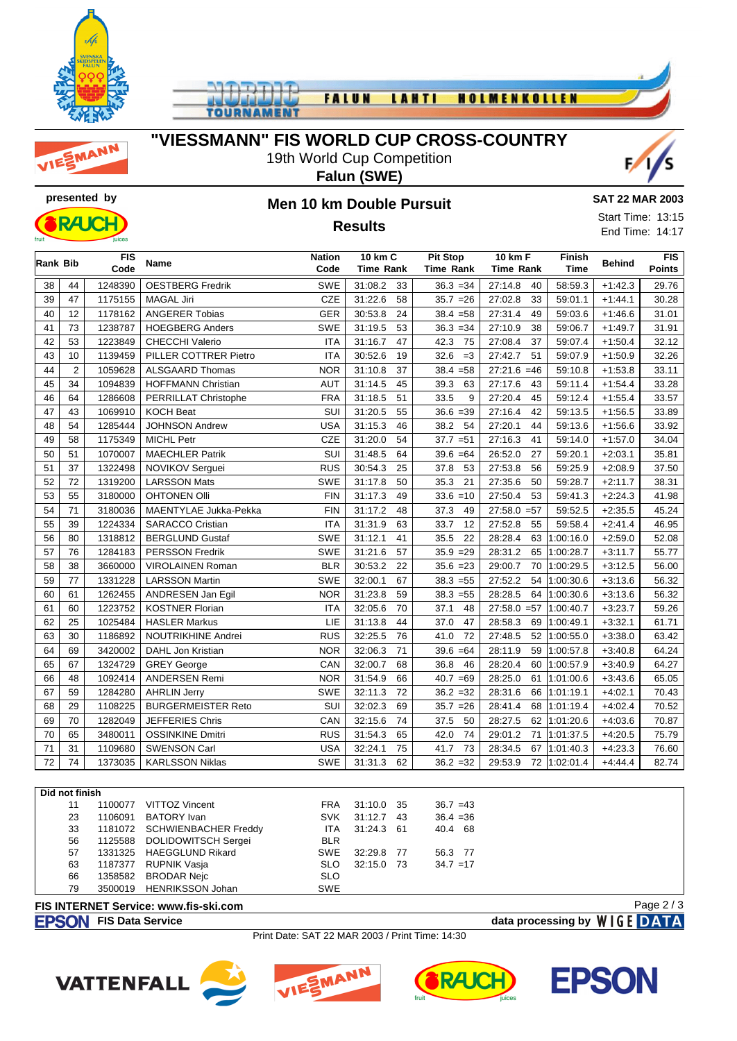





## **"VIESSMANN" FIS WORLD CUP CROSS-COUNTRY**

19th World Cup Competition **Falun (SWE)**





# **presented by Men 10 km Double Pursuit Results**

**SAT 22 MAR 2003**

Start Time: 13:15 End Time: 14:17

|    | <b>FIS</b><br>Rank Bib<br>Code |         | <b>Name</b>               | <b>Nation</b><br>Code | 10 km C<br><b>Time Rank</b> | <b>Pit Stop</b><br><b>Time Rank</b> | <b>10 km F</b><br><b>Time Rank</b> | <b>Finish</b><br><b>Time</b> | <b>Behind</b> | <b>FIS</b><br>Points |
|----|--------------------------------|---------|---------------------------|-----------------------|-----------------------------|-------------------------------------|------------------------------------|------------------------------|---------------|----------------------|
| 38 | 44                             | 1248390 | <b>OESTBERG Fredrik</b>   | <b>SWE</b>            | 31:08.2<br>33               | $36.3 = 34$                         | 27:14.8<br>40                      | 58:59.3                      | $+1:42.3$     | 29.76                |
| 39 | 47                             | 1175155 | <b>MAGAL Jiri</b>         | CZE                   | 58<br>31:22.6               | $35.7 = 26$                         | 27:02.8<br>33                      | 59:01.1                      | $+1:44.1$     | 30.28                |
| 40 | 12                             | 1178162 | <b>ANGERER Tobias</b>     | <b>GER</b>            | 24<br>30:53.8               | $38.4 = 58$                         | 27:31.4<br>49                      | 59:03.6                      | $+1:46.6$     | 31.01                |
| 41 | 73                             | 1238787 | <b>HOEGBERG Anders</b>    | SWE                   | 53<br>31:19.5               | $36.3 = 34$                         | 27:10.9<br>38                      | 59:06.7                      | $+1:49.7$     | 31.91                |
| 42 | 53                             | 1223849 | <b>CHECCHI Valerio</b>    | <b>ITA</b>            | 47<br>31:16.7               | 42.3<br>75                          | 27:08.4<br>37                      | 59:07.4                      | $+1:50.4$     | 32.12                |
| 43 | 10                             | 1139459 | PILLER COTTRER Pietro     | <b>ITA</b>            | 30:52.6<br>19               | 32.6<br>$=3$                        | 27:42.7<br>51                      | 59:07.9                      | $+1:50.9$     | 32.26                |
| 44 | $\overline{2}$                 | 1059628 | <b>ALSGAARD Thomas</b>    | <b>NOR</b>            | 37<br>31:10.8               | $38.4 = 58$                         | $27:21.6 = 46$                     | 59:10.8                      | $+1:53.8$     | 33.11                |
| 45 | 34                             | 1094839 | <b>HOFFMANN Christian</b> | <b>AUT</b>            | 45<br>31:14.5               | 63<br>39.3                          | 27:17.6<br>43                      | 59:11.4                      | $+1:54.4$     | 33.28                |
| 46 | 64                             | 1286608 | PERRILLAT Christophe      | <b>FRA</b>            | 51<br>31:18.5               | 33.5<br>9                           | 27:20.4<br>45                      | 59:12.4                      | $+1:55.4$     | 33.57                |
| 47 | 43                             | 1069910 | <b>KOCH Beat</b>          | SUI                   | 55<br>31:20.5               | $36.6 = 39$                         | 27:16.4<br>42                      | 59:13.5                      | $+1:56.5$     | 33.89                |
| 48 | 54                             | 1285444 | JOHNSON Andrew            | <b>USA</b>            | 31:15.3<br>46               | 38.2<br>54                          | 27:20.1<br>44                      | 59:13.6                      | $+1:56.6$     | 33.92                |
| 49 | 58                             | 1175349 | <b>MICHL Petr</b>         | <b>CZE</b>            | 31:20.0<br>54               | $37.7 = 51$                         | 27:16.3<br>41                      | 59:14.0                      | $+1:57.0$     | 34.04                |
| 50 | 51                             | 1070007 | <b>MAECHLER Patrik</b>    | SUI                   | 31:48.5<br>64               | 39.6<br>$=64$                       | 26:52.0<br>27                      | 59:20.1                      | $+2:03.1$     | 35.81                |
| 51 | 37                             | 1322498 | NOVIKOV Serguei           | <b>RUS</b>            | 30:54.3<br>25               | 37.8<br>53                          | 27:53.8<br>56                      | 59:25.9                      | $+2:08.9$     | 37.50                |
| 52 | 72                             | 1319200 | <b>LARSSON Mats</b>       | SWE                   | 31:17.8<br>50               | 35.3<br>21                          | 27:35.6<br>50                      | 59:28.7                      | $+2:11.7$     | 38.31                |
| 53 | 55                             | 3180000 | <b>OHTONEN OIII</b>       | <b>FIN</b>            | 49<br>31:17.3               | 33.6<br>$=10$                       | 27:50.4<br>53                      | 59:41.3                      | $+2:24.3$     | 41.98                |
| 54 | 71                             | 3180036 | MAENTYLAE Jukka-Pekka     | <b>FIN</b>            | 31:17.2<br>48               | 37.3<br>49                          | $27:58.0 = 57$                     | 59:52.5                      | $+2:35.5$     | 45.24                |
| 55 | 39                             | 1224334 | <b>SARACCO Cristian</b>   | <b>ITA</b>            | 31:31.9<br>63               | 33.7<br>12                          | 27:52.8<br>55                      | 59:58.4                      | $+2:41.4$     | 46.95                |
| 56 | 80                             | 1318812 | <b>BERGLUND Gustaf</b>    | <b>SWE</b>            | 31:12.1<br>41               | 35.5<br>22                          | 28:28.4<br>63                      | 1:00:16.0                    | $+2:59.0$     | 52.08                |
| 57 | 76                             | 1284183 | <b>PERSSON Fredrik</b>    | SWE                   | 31:21.6<br>57               | $35.9 = 29$                         | 28:31.2<br>65                      | 1:00:28.7                    | $+3:11.7$     | 55.77                |
| 58 | 38                             | 3660000 | <b>VIROLAINEN Roman</b>   | <b>BLR</b>            | 22<br>30:53.2               | $35.6 = 23$                         | 70<br>29:00.7                      | 1:00:29.5                    | $+3:12.5$     | 56.00                |
| 59 | 77                             | 1331228 | <b>LARSSON Martin</b>     | SWE                   | 67<br>32:00.1               | $38.3 = 55$                         | 54<br>27:52.2                      | 1:00:30.6                    | $+3:13.6$     | 56.32                |
| 60 | 61                             | 1262455 | ANDRESEN Jan Egil         | <b>NOR</b>            | 59<br>31:23.8               | $38.3 = 55$                         | 28:28.5<br>64                      | 1:00:30.6                    | $+3:13.6$     | 56.32                |
| 61 | 60                             | 1223752 | <b>KOSTNER Florian</b>    | <b>ITA</b>            | 70<br>32:05.6               | 37.1<br>48                          | $27:58.0 = 57$                     | 1:00:40.7                    | $+3:23.7$     | 59.26                |
| 62 | 25                             | 1025484 | <b>HASLER Markus</b>      | LIE                   | 44<br>31:13.8               | 37.0<br>47                          | 28:58.3<br>69                      | 1:00:49.1                    | $+3:32.1$     | 61.71                |
| 63 | 30                             | 1186892 | <b>NOUTRIKHINE Andrei</b> | <b>RUS</b>            | 32:25.5<br>76               | 72<br>41.0                          | 27:48.5<br>52                      | 1:00:55.0                    | $+3:38.0$     | 63.42                |
| 64 | 69                             | 3420002 | DAHL Jon Kristian         | <b>NOR</b>            | 71<br>32:06.3               | $39.6 = 64$                         | 28:11.9<br>59                      | 1:00:57.8                    | $+3:40.8$     | 64.24                |
| 65 | 67                             | 1324729 | <b>GREY George</b>        | CAN                   | 68<br>32:00.7               | 36.8<br>46                          | 28:20.4<br>60                      | 1:00:57.9                    | $+3:40.9$     | 64.27                |
| 66 | 48                             | 1092414 | <b>ANDERSEN Remi</b>      | <b>NOR</b>            | 66<br>31:54.9               | $40.7 = 69$                         | 28:25.0                            | 61 1:01:00.6                 | $+3:43.6$     | 65.05                |
| 67 | 59                             | 1284280 | <b>AHRLIN Jerry</b>       | <b>SWE</b>            | 72<br>32:11.3               | $36.2 = 32$                         | 28:31.6<br>66                      | 1:01:19.1                    | $+4:02.1$     | 70.43                |
| 68 | 29                             | 1108225 | <b>BURGERMEISTER Reto</b> | SUI                   | 69<br>32:02.3               | $35.7 = 26$                         | 28:41.4<br>68                      | 1:01:19.4                    | $+4:02.4$     | 70.52                |
| 69 | 70                             | 1282049 | JEFFERIES Chris           | CAN                   | 74<br>32:15.6               | 50<br>37.5                          | 28:27.5                            | 62 1:01:20.6                 | $+4:03.6$     | 70.87                |
| 70 | 65                             | 3480011 | <b>OSSINKINE Dmitri</b>   | <b>RUS</b>            | 31:54.3<br>65               | 74<br>42.0                          | 29:01.2                            | 71 1:01:37.5                 | $+4:20.5$     | 75.79                |
| 71 | 31                             | 1109680 | <b>SWENSON Carl</b>       | <b>USA</b>            | 32:24.1<br>75               | 41.7<br>73                          | 28:34.5                            | 67 1:01:40.3                 | $+4:23.3$     | 76.60                |
| 72 | 74                             | 1373035 | <b>KARLSSON Niklas</b>    | <b>SWE</b>            | 31:31.3<br>62               | $36.2 = 32$                         | 29:53.9                            | 72 1:02:01.4                 | $+4:44.4$     | 82.74                |

| Did not finish                                             |         |                             |            |              |  |             |  |  |  |  |
|------------------------------------------------------------|---------|-----------------------------|------------|--------------|--|-------------|--|--|--|--|
| 11                                                         | 1100077 | VITTOZ Vincent              | <b>FRA</b> | 31:10.0 35   |  | $36.7 = 43$ |  |  |  |  |
| 23                                                         | 1106091 | BATORY Ivan                 | <b>SVK</b> | $31:12.7$ 43 |  | $36.4 = 36$ |  |  |  |  |
| 33                                                         | 1181072 | <b>SCHWIENBACHER Freddy</b> | ITA        | 31:24.3 61   |  | 40.4 68     |  |  |  |  |
| 56                                                         |         | 1125588 DOLIDOWITSCH Sergei | <b>BLR</b> |              |  |             |  |  |  |  |
| 57                                                         |         | 1331325 HAEGGLUND Rikard    | SWE        | 32:29.8 77   |  | 56.3 77     |  |  |  |  |
| 63                                                         | 1187377 | RUPNIK Vasja                | SLO.       | 32:15.0 73   |  | $34.7 = 17$ |  |  |  |  |
| 66                                                         | 1358582 | BRODAR Nejc                 | <b>SLO</b> |              |  |             |  |  |  |  |
| 79                                                         | 3500019 | HENRIKSSON Johan            | <b>SWE</b> |              |  |             |  |  |  |  |
| Page $2/3$<br><b>FIS INTERNET Service: www.fis-ski.com</b> |         |                             |            |              |  |             |  |  |  |  |

### **FIS INTERNET Service: www.fis-ski.com**

**FIS Data Service data processing by**  $W \mid G E$  **DATA** 

Print Date: SAT 22 MAR 2003 / Print Time: 14:30